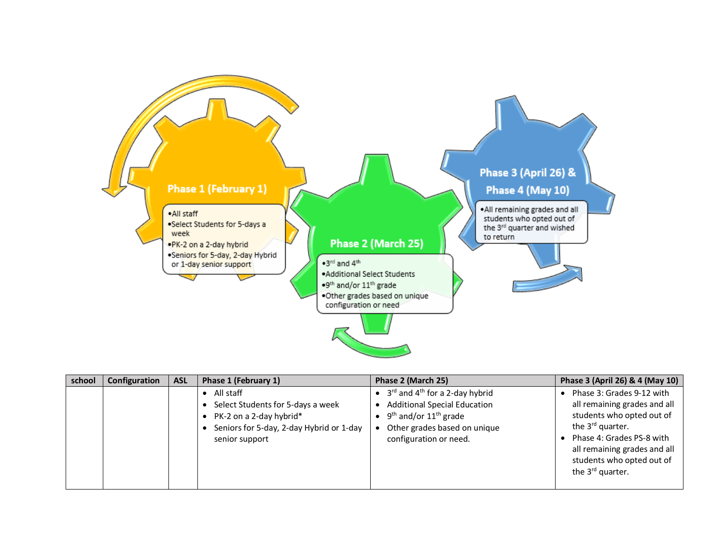

| school | Configuration | <b>ASL</b> | Phase 1 (February 1)                                                                                                                                | Phase 2 (March 25)                                                                                                                                                               | Phase 3 (April 26) & 4 (May 10)                                                                                                                                                                                                                  |
|--------|---------------|------------|-----------------------------------------------------------------------------------------------------------------------------------------------------|----------------------------------------------------------------------------------------------------------------------------------------------------------------------------------|--------------------------------------------------------------------------------------------------------------------------------------------------------------------------------------------------------------------------------------------------|
|        |               |            | $\bullet$ All staff<br>Select Students for 5-days a week<br>• PK-2 on a 2-day hybrid*<br>Seniors for 5-day, 2-day Hybrid or 1-day<br>senior support | $3^{rd}$ and $4^{th}$ for a 2-day hybrid<br><b>Additional Special Education</b><br>$9th$ and/or 11 <sup>th</sup> grade<br>Other grades based on unique<br>configuration or need. | Phase 3: Grades 9-12 with<br>all remaining grades and all<br>students who opted out of<br>the 3 <sup>rd</sup> quarter.<br>Phase 4: Grades PS-8 with<br>all remaining grades and all<br>students who opted out of<br>the 3 <sup>rd</sup> quarter. |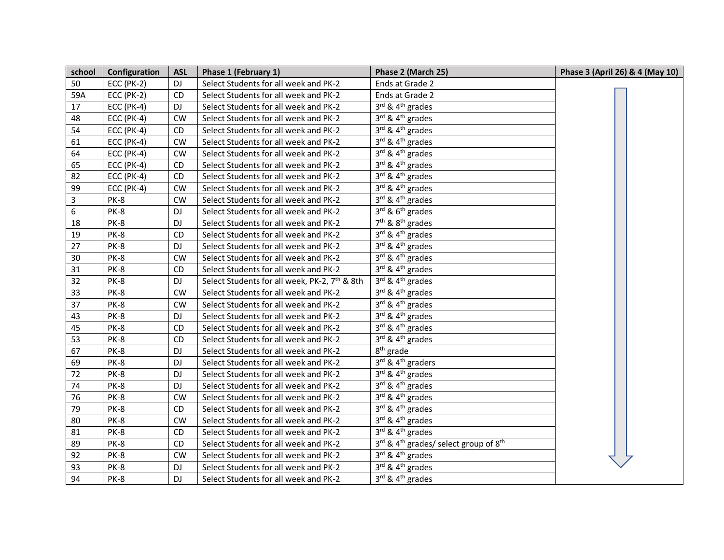| school           | Configuration     | <b>ASL</b> | Phase 1 (February 1)                                      | Phase 2 (March 25)                                            | Phase 3 (April 26) & 4 (May 10) |
|------------------|-------------------|------------|-----------------------------------------------------------|---------------------------------------------------------------|---------------------------------|
| 50               | <b>ECC (PK-2)</b> | <b>DJ</b>  | Select Students for all week and PK-2                     | Ends at Grade 2                                               |                                 |
| 59A              | <b>ECC (PK-2)</b> | <b>CD</b>  | Select Students for all week and PK-2                     | Ends at Grade 2                                               |                                 |
| 17               | <b>ECC (PK-4)</b> | <b>DJ</b>  | Select Students for all week and PK-2                     | 3rd & 4 <sup>th</sup> grades                                  |                                 |
| 48               | <b>ECC (PK-4)</b> | <b>CW</b>  | Select Students for all week and PK-2                     | $3^{\text{rd}}$ & $4^{\text{th}}$ grades                      |                                 |
| 54               | <b>ECC (PK-4)</b> | CD         | Select Students for all week and PK-2                     | 3rd & 4 <sup>th</sup> grades                                  |                                 |
| 61               | <b>ECC (PK-4)</b> | <b>CW</b>  | Select Students for all week and PK-2                     | 3rd & 4 <sup>th</sup> grades                                  |                                 |
| 64               | <b>ECC (PK-4)</b> | <b>CW</b>  | Select Students for all week and PK-2                     | $3^{rd}$ & $4^{th}$ grades                                    |                                 |
| 65               | <b>ECC (PK-4)</b> | <b>CD</b>  | Select Students for all week and PK-2                     | 3rd & 4 <sup>th</sup> grades                                  |                                 |
| 82               | <b>ECC (PK-4)</b> | CD         | Select Students for all week and PK-2                     | $3^{\text{rd}}$ & $4^{\text{th}}$ grades                      |                                 |
| 99               | <b>ECC (PK-4)</b> | <b>CW</b>  | Select Students for all week and PK-2                     | $3^{\text{rd}}$ & $4^{\text{th}}$ grades                      |                                 |
| $\mathsf{3}$     | PK-8              | <b>CW</b>  | Select Students for all week and PK-2                     | $3^{\text{rd}}$ & $4^{\text{th}}$ grades                      |                                 |
| $\boldsymbol{6}$ | PK-8              | DJ         | Select Students for all week and PK-2                     | $3^{rd}$ & $6^{th}$ grades                                    |                                 |
| 18               | PK-8              | DJ         | Select Students for all week and PK-2                     | $7th$ & $8th$ grades                                          |                                 |
| 19               | PK-8              | <b>CD</b>  | Select Students for all week and PK-2                     | 3rd & 4 <sup>th</sup> grades                                  |                                 |
| 27               | PK-8              | DJ.        | Select Students for all week and PK-2                     | 3rd & 4 <sup>th</sup> grades                                  |                                 |
| 30               | PK-8              | <b>CW</b>  | Select Students for all week and PK-2                     | $3^{rd}$ & $4^{th}$ grades                                    |                                 |
| 31               | PK-8              | <b>CD</b>  | Select Students for all week and PK-2                     | 3rd & 4 <sup>th</sup> grades                                  |                                 |
| 32               | PK-8              | <b>DJ</b>  | Select Students for all week, PK-2, 7 <sup>th</sup> & 8th | $3rd$ & 4 <sup>th</sup> grades                                |                                 |
| 33               | PK-8              | <b>CW</b>  | Select Students for all week and PK-2                     | 3rd & 4 <sup>th</sup> grades                                  |                                 |
| 37               | PK-8              | <b>CW</b>  | Select Students for all week and PK-2                     | 3rd & 4 <sup>th</sup> grades                                  |                                 |
| 43               | PK-8              | <b>DJ</b>  | Select Students for all week and PK-2                     | $3^{\text{rd}}$ & $4^{\text{th}}$ grades                      |                                 |
| 45               | PK-8              | <b>CD</b>  | Select Students for all week and PK-2                     | $3^{\text{rd}}$ & $4^{\text{th}}$ grades                      |                                 |
| 53               | PK-8              | CD         | Select Students for all week and PK-2                     | $3^{\text{rd}}$ & $4^{\text{th}}$ grades                      |                                 |
| 67               | PK-8              | <b>DJ</b>  | Select Students for all week and PK-2                     | $8th$ grade                                                   |                                 |
| 69               | PK-8              | <b>DJ</b>  | Select Students for all week and PK-2                     | 3rd & 4 <sup>th</sup> graders                                 |                                 |
| 72               | PK-8              | DJ         | Select Students for all week and PK-2                     | 3rd & 4 <sup>th</sup> grades                                  |                                 |
| 74               | PK-8              | DJ.        | Select Students for all week and PK-2                     | 3rd & 4 <sup>th</sup> grades                                  |                                 |
| 76               | PK-8              | <b>CW</b>  | Select Students for all week and PK-2                     | $3^{rd}$ & $4^{th}$ grades                                    |                                 |
| 79               | PK-8              | <b>CD</b>  | Select Students for all week and PK-2                     | $3^{\text{rd}}$ & $4^{\text{th}}$ grades                      |                                 |
| 80               | PK-8              | <b>CW</b>  | Select Students for all week and PK-2                     | 3rd & 4 <sup>th</sup> grades                                  |                                 |
| 81               | PK-8              | <b>CD</b>  | Select Students for all week and PK-2                     | 3rd & 4 <sup>th</sup> grades                                  |                                 |
| 89               | PK-8              | <b>CD</b>  | Select Students for all week and PK-2                     | 3rd & 4 <sup>th</sup> grades/ select group of 8 <sup>th</sup> |                                 |
| 92               | PK-8              | <b>CW</b>  | Select Students for all week and PK-2                     | 3rd & 4 <sup>th</sup> grades                                  |                                 |
| 93               | PK-8              | DJ         | Select Students for all week and PK-2                     | 3rd & 4 <sup>th</sup> grades                                  |                                 |
| 94               | PK-8              | <b>DJ</b>  | Select Students for all week and PK-2                     | 3rd & 4 <sup>th</sup> grades                                  |                                 |